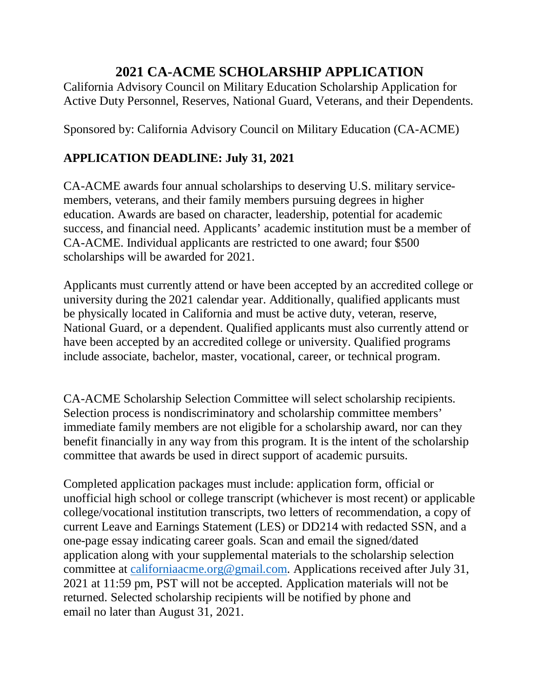### **2021 CA-ACME SCHOLARSHIP APPLICATION**

California Advisory Council on Military Education Scholarship Application for Active Duty Personnel, Reserves, National Guard, Veterans, and their Dependents.

Sponsored by: California Advisory Council on Military Education (CA-ACME)

#### **APPLICATION DEADLINE: July 31, 2021**

CA-ACME awards four annual scholarships to deserving U.S. military servicemembers, veterans, and their family members pursuing degrees in higher education. Awards are based on character, leadership, potential for academic success, and financial need. Applicants' academic institution must be a member of CA-ACME. Individual applicants are restricted to one award; four \$500 scholarships will be awarded for 2021.

Applicants must currently attend or have been accepted by an accredited college or university during the 2021 calendar year. Additionally, qualified applicants must be physically located in California and must be active duty, veteran, reserve, National Guard, or a dependent. Qualified applicants must also currently attend or have been accepted by an accredited college or university. Qualified programs include associate, bachelor, master, vocational, career, or technical program.

CA-ACME Scholarship Selection Committee will select scholarship recipients. Selection process is nondiscriminatory and scholarship committee members' immediate family members are not eligible for a scholarship award, nor can they benefit financially in any way from this program. It is the intent of the scholarship committee that awards be used in direct support of academic pursuits.

Completed application packages must include: application form, official or unofficial high school or college transcript (whichever is most recent) or applicable college/vocational institution transcripts, two letters of recommendation, a copy of current Leave and Earnings Statement (LES) or DD214 with redacted SSN, and a one-page essay indicating career goals. Scan and email the signed/dated application along with your supplemental materials to the scholarship selection committee at [californiaacme.org@gmail.com.](mailto:californiaacme.org@gmail.com) Applications received after July 31, 2021 at 11:59 pm, PST will not be accepted. Application materials will not be returned. Selected scholarship recipients will be notified by phone and email no later than August 31, 2021.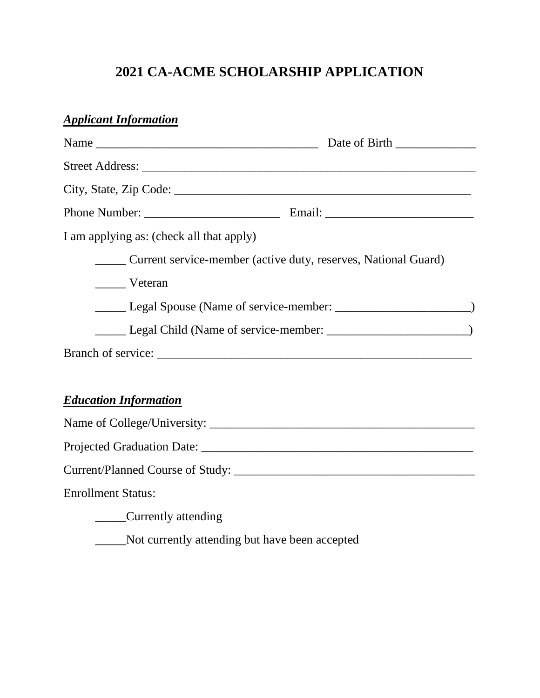# **2021 CA-ACME SCHOLARSHIP APPLICATION**

### *Applicant Information*

| I am applying as: (check all that apply)                       |  |  |
|----------------------------------------------------------------|--|--|
| Current service-member (active duty, reserves, National Guard) |  |  |
| Veteran                                                        |  |  |
|                                                                |  |  |
|                                                                |  |  |
|                                                                |  |  |
|                                                                |  |  |
| <b>Education Information</b>                                   |  |  |
|                                                                |  |  |
|                                                                |  |  |
|                                                                |  |  |
| <b>Enrollment Status:</b>                                      |  |  |
| ______Currently attending                                      |  |  |

\_\_\_\_\_Not currently attending but have been accepted